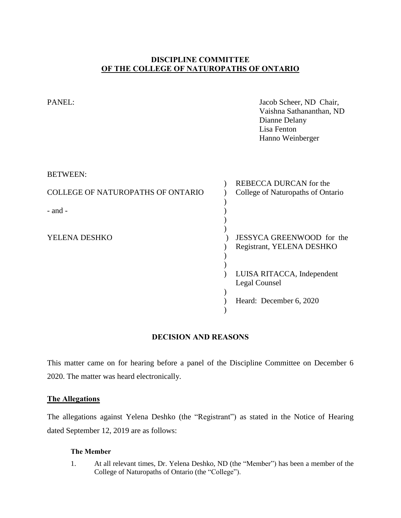# **DISCIPLINE COMMITTEE OF THE COLLEGE OF NATUROPATHS OF ONTARIO**

| PANEL:                            | Jacob Scheer, ND Chair,<br>Vaishna Sathananthan, ND<br>Dianne Delany<br>Lisa Fenton<br>Hanno Weinberger |
|-----------------------------------|---------------------------------------------------------------------------------------------------------|
| <b>BETWEEN:</b>                   |                                                                                                         |
| COLLEGE OF NATUROPATHS OF ONTARIO | <b>REBECCA DURCAN</b> for the<br>College of Naturopaths of Ontario                                      |
|                                   |                                                                                                         |
| $-$ and $-$                       |                                                                                                         |
|                                   |                                                                                                         |
| YELENA DESHKO                     | JESSYCA GREENWOOD for the                                                                               |
|                                   | Registrant, YELENA DESHKO                                                                               |
|                                   |                                                                                                         |
|                                   | LUISA RITACCA, Independent<br><b>Legal Counsel</b>                                                      |
|                                   | Heard: December 6, 2020                                                                                 |
|                                   |                                                                                                         |

# **DECISION AND REASONS**

This matter came on for hearing before a panel of the Discipline Committee on December 6 2020. The matter was heard electronically.

# **The Allegations**

The allegations against Yelena Deshko (the "Registrant") as stated in the Notice of Hearing dated September 12, 2019 are as follows:

# **The Member**

1. At all relevant times, Dr. Yelena Deshko, ND (the "Member") has been a member of the College of Naturopaths of Ontario (the "College").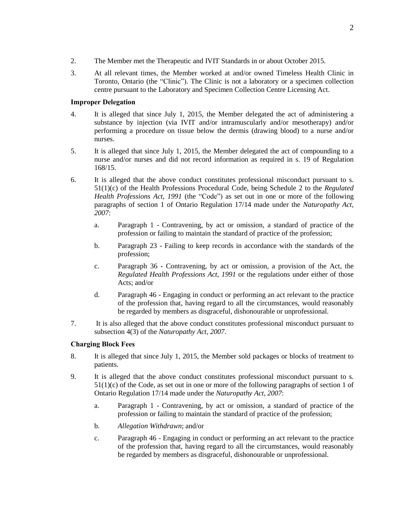- 2. The Member met the Therapeutic and IVIT Standards in or about October 2015.
- 3. At all relevant times, the Member worked at and/or owned Timeless Health Clinic in Toronto, Ontario (the "Clinic"). The Clinic is not a laboratory or a specimen collection centre pursuant to the Laboratory and Specimen Collection Centre Licensing Act.

## **Improper Delegation**

- 4. It is alleged that since July 1, 2015, the Member delegated the act of administering a substance by injection (via IVIT and/or intramuscularly and/or mesotherapy) and/or performing a procedure on tissue below the dermis (drawing blood) to a nurse and/or nurses.
- 5. It is alleged that since July 1, 2015, the Member delegated the act of compounding to a nurse and/or nurses and did not record information as required in s. 19 of Regulation 168/15.
- 6. It is alleged that the above conduct constitutes professional misconduct pursuant to s. 51(1)(c) of the Health Professions Procedural Code, being Schedule 2 to the *Regulated Health Professions Act, 1991* (the "Code") as set out in one or more of the following paragraphs of section 1 of Ontario Regulation 17/14 made under the *Naturopathy Act, 2007*:
	- a. Paragraph 1 Contravening, by act or omission, a standard of practice of the profession or failing to maintain the standard of practice of the profession;
	- b. Paragraph 23 Failing to keep records in accordance with the standards of the profession;
	- c. Paragraph 36 Contravening, by act or omission, a provision of the Act, the *Regulated Health Professions Act, 1991* or the regulations under either of those Acts; and/or
	- d. Paragraph 46 Engaging in conduct or performing an act relevant to the practice of the profession that, having regard to all the circumstances, would reasonably be regarded by members as disgraceful, dishonourable or unprofessional.
- 7. It is also alleged that the above conduct constitutes professional misconduct pursuant to subsection 4(3) of the *Naturopathy Act, 2007*.

### **Charging Block Fees**

- 8. It is alleged that since July 1, 2015, the Member sold packages or blocks of treatment to patients.
- 9. It is alleged that the above conduct constitutes professional misconduct pursuant to s. 51(1)(c) of the Code, as set out in one or more of the following paragraphs of section 1 of Ontario Regulation 17/14 made under the *Naturopathy Act, 2007*:
	- a. Paragraph 1 Contravening, by act or omission, a standard of practice of the profession or failing to maintain the standard of practice of the profession;
	- b. *Allegation Withdrawn*; and/or
	- c. Paragraph 46 Engaging in conduct or performing an act relevant to the practice of the profession that, having regard to all the circumstances, would reasonably be regarded by members as disgraceful, dishonourable or unprofessional.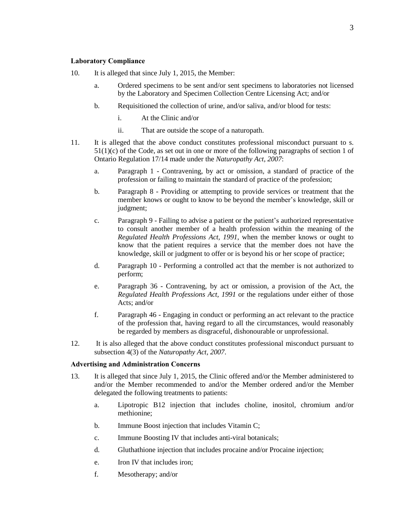#### **Laboratory Compliance**

- 10. It is alleged that since July 1, 2015, the Member:
	- a. Ordered specimens to be sent and/or sent specimens to laboratories not licensed by the Laboratory and Specimen Collection Centre Licensing Act; and/or
	- b. Requisitioned the collection of urine, and/or saliva, and/or blood for tests:
		- i. At the Clinic and/or
		- ii. That are outside the scope of a naturopath.
- 11. It is alleged that the above conduct constitutes professional misconduct pursuant to s. 51(1)(c) of the Code, as set out in one or more of the following paragraphs of section 1 of Ontario Regulation 17/14 made under the *Naturopathy Act, 2007*:
	- a. Paragraph 1 Contravening, by act or omission, a standard of practice of the profession or failing to maintain the standard of practice of the profession;
	- b. Paragraph 8 Providing or attempting to provide services or treatment that the member knows or ought to know to be beyond the member's knowledge, skill or judgment;
	- c. Paragraph 9 Failing to advise a patient or the patient's authorized representative to consult another member of a health profession within the meaning of the *Regulated Health Professions Act, 1991*, when the member knows or ought to know that the patient requires a service that the member does not have the knowledge, skill or judgment to offer or is beyond his or her scope of practice;
	- d. Paragraph 10 Performing a controlled act that the member is not authorized to perform;
	- e. Paragraph 36 Contravening, by act or omission, a provision of the Act, the *Regulated Health Professions Act, 1991* or the regulations under either of those Acts; and/or
	- f. Paragraph 46 Engaging in conduct or performing an act relevant to the practice of the profession that, having regard to all the circumstances, would reasonably be regarded by members as disgraceful, dishonourable or unprofessional.
- 12. It is also alleged that the above conduct constitutes professional misconduct pursuant to subsection 4(3) of the *Naturopathy Act, 2007*.

#### **Advertising and Administration Concerns**

- 13. It is alleged that since July 1, 2015, the Clinic offered and/or the Member administered to and/or the Member recommended to and/or the Member ordered and/or the Member delegated the following treatments to patients:
	- a. Lipotropic B12 injection that includes choline, inositol, chromium and/or methionine;
	- b. Immune Boost injection that includes Vitamin C;
	- c. Immune Boosting IV that includes anti-viral botanicals;
	- d. Gluthathione injection that includes procaine and/or Procaine injection;
	- e. Iron IV that includes iron;
	- f. Mesotherapy; and/or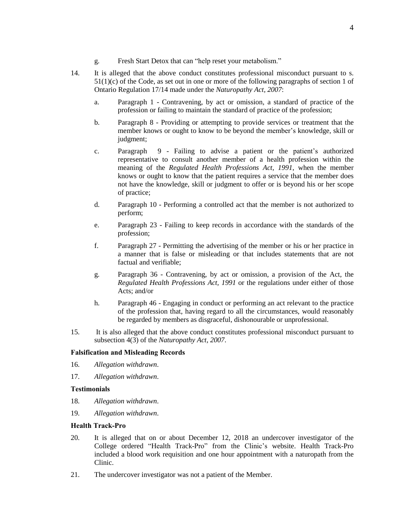- 
- g. Fresh Start Detox that can "help reset your metabolism."
- 14. It is alleged that the above conduct constitutes professional misconduct pursuant to s.  $51(1)(c)$  of the Code, as set out in one or more of the following paragraphs of section 1 of Ontario Regulation 17/14 made under the *Naturopathy Act, 2007*:
	- a. Paragraph 1 Contravening, by act or omission, a standard of practice of the profession or failing to maintain the standard of practice of the profession;
	- b. Paragraph 8 Providing or attempting to provide services or treatment that the member knows or ought to know to be beyond the member's knowledge, skill or judgment;
	- c. Paragraph 9 Failing to advise a patient or the patient's authorized representative to consult another member of a health profession within the meaning of the *Regulated Health Professions Act, 1991*, when the member knows or ought to know that the patient requires a service that the member does not have the knowledge, skill or judgment to offer or is beyond his or her scope of practice;
	- d. Paragraph 10 Performing a controlled act that the member is not authorized to perform;
	- e. Paragraph 23 Failing to keep records in accordance with the standards of the profession;
	- f. Paragraph 27 Permitting the advertising of the member or his or her practice in a manner that is false or misleading or that includes statements that are not factual and verifiable;
	- g. Paragraph 36 Contravening, by act or omission, a provision of the Act, the *Regulated Health Professions Act, 1991* or the regulations under either of those Acts; and/or
	- h. Paragraph 46 Engaging in conduct or performing an act relevant to the practice of the profession that, having regard to all the circumstances, would reasonably be regarded by members as disgraceful, dishonourable or unprofessional.
- 15. It is also alleged that the above conduct constitutes professional misconduct pursuant to subsection 4(3) of the *Naturopathy Act, 2007*.

### **Falsification and Misleading Records**

- 16. *Allegation withdrawn*.
- 17. *Allegation withdrawn*.

#### **Testimonials**

- 18. *Allegation withdrawn*.
- 19. *Allegation withdrawn*.

#### **Health Track-Pro**

- 20. It is alleged that on or about December 12, 2018 an undercover investigator of the College ordered "Health Track-Pro" from the Clinic's website. Health Track-Pro included a blood work requisition and one hour appointment with a naturopath from the Clinic.
- 21. The undercover investigator was not a patient of the Member.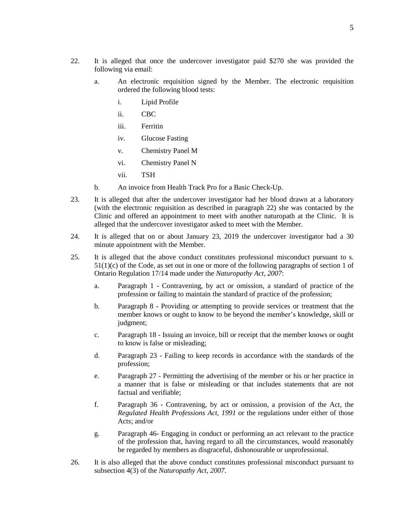- 22. It is alleged that once the undercover investigator paid \$270 she was provided the following via email:
	- a. An electronic requisition signed by the Member. The electronic requisition ordered the following blood tests:
		- i. Lipid Profile
		- ii. CBC
		- iii. Ferritin
		- iv. Glucose Fasting
		- v. Chemistry Panel M
		- vi. Chemistry Panel N
		- vii. TSH
	- b. An invoice from Health Track Pro for a Basic Check-Up.
- 23. It is alleged that after the undercover investigator had her blood drawn at a laboratory (with the electronic requisition as described in paragraph 22) she was contacted by the Clinic and offered an appointment to meet with another naturopath at the Clinic. It is alleged that the undercover investigator asked to meet with the Member.
- 24. It is alleged that on or about January 23, 2019 the undercover investigator had a 30 minute appointment with the Member.
- 25. It is alleged that the above conduct constitutes professional misconduct pursuant to s.  $51(1)(c)$  of the Code, as set out in one or more of the following paragraphs of section 1 of Ontario Regulation 17/14 made under the *Naturopathy Act, 2007*:
	- a. Paragraph 1 Contravening, by act or omission, a standard of practice of the profession or failing to maintain the standard of practice of the profession;
	- b. Paragraph 8 Providing or attempting to provide services or treatment that the member knows or ought to know to be beyond the member's knowledge, skill or judgment;
	- c. Paragraph 18 Issuing an invoice, bill or receipt that the member knows or ought to know is false or misleading;
	- d. Paragraph 23 Failing to keep records in accordance with the standards of the profession;
	- e. Paragraph 27 Permitting the advertising of the member or his or her practice in a manner that is false or misleading or that includes statements that are not factual and verifiable;
	- f. Paragraph 36 Contravening, by act or omission, a provision of the Act, the *Regulated Health Professions Act, 1991* or the regulations under either of those Acts; and/or
	- g. Paragraph 46- Engaging in conduct or performing an act relevant to the practice of the profession that, having regard to all the circumstances, would reasonably be regarded by members as disgraceful, dishonourable or unprofessional.
- 26. It is also alleged that the above conduct constitutes professional misconduct pursuant to subsection 4(3) of the *Naturopathy Act, 2007*.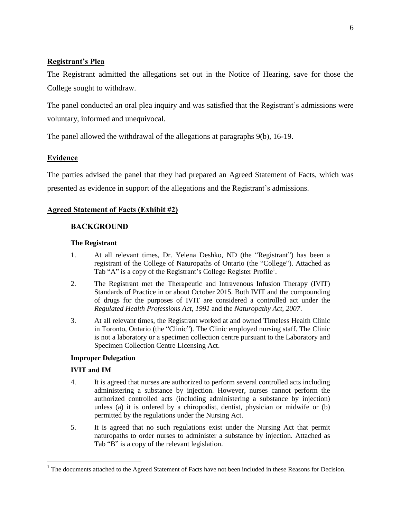# **Registrant's Plea**

The Registrant admitted the allegations set out in the Notice of Hearing, save for those the College sought to withdraw.

The panel conducted an oral plea inquiry and was satisfied that the Registrant's admissions were voluntary, informed and unequivocal.

The panel allowed the withdrawal of the allegations at paragraphs 9(b), 16-19.

# **Evidence**

The parties advised the panel that they had prepared an Agreed Statement of Facts, which was presented as evidence in support of the allegations and the Registrant's admissions.

# **Agreed Statement of Facts (Exhibit #2)**

# **BACKGROUND**

## **The Registrant**

- 1. At all relevant times, Dr. Yelena Deshko, ND (the "Registrant") has been a registrant of the College of Naturopaths of Ontario (the "College"). Attached as Tab "A" is a copy of the Registrant's College Register Profile<sup>1</sup>.
- 2. The Registrant met the Therapeutic and Intravenous Infusion Therapy (IVIT) Standards of Practice in or about October 2015. Both IVIT and the compounding of drugs for the purposes of IVIT are considered a controlled act under the *Regulated Health Professions Act, 1991* and the *Naturopathy Act, 2007*.
- 3. At all relevant times, the Registrant worked at and owned Timeless Health Clinic in Toronto, Ontario (the "Clinic"). The Clinic employed nursing staff. The Clinic is not a laboratory or a specimen collection centre pursuant to the Laboratory and Specimen Collection Centre Licensing Act.

# **Improper Delegation**

# **IVIT and IM**

 $\overline{a}$ 

- 4. It is agreed that nurses are authorized to perform several controlled acts including administering a substance by injection. However, nurses cannot perform the authorized controlled acts (including administering a substance by injection) unless (a) it is ordered by a chiropodist, dentist, physician or midwife or (b) permitted by the regulations under the Nursing Act.
- 5. It is agreed that no such regulations exist under the Nursing Act that permit naturopaths to order nurses to administer a substance by injection. Attached as Tab "B" is a copy of the relevant legislation.

 $<sup>1</sup>$  The documents attached to the Agreed Statement of Facts have not been included in these Reasons for Decision.</sup>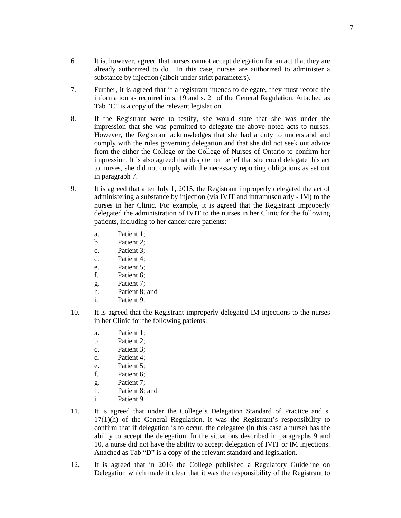- 6. It is, however, agreed that nurses cannot accept delegation for an act that they are already authorized to do. In this case, nurses are authorized to administer a substance by injection (albeit under strict parameters).
- 7. Further, it is agreed that if a registrant intends to delegate, they must record the information as required in s. 19 and s. 21 of the General Regulation. Attached as Tab "C" is a copy of the relevant legislation.
- 8. If the Registrant were to testify, she would state that she was under the impression that she was permitted to delegate the above noted acts to nurses. However, the Registrant acknowledges that she had a duty to understand and comply with the rules governing delegation and that she did not seek out advice from the either the College or the College of Nurses of Ontario to confirm her impression. It is also agreed that despite her belief that she could delegate this act to nurses, she did not comply with the necessary reporting obligations as set out in paragraph 7.
- 9. It is agreed that after July 1, 2015, the Registrant improperly delegated the act of administering a substance by injection (via IVIT and intramuscularly - IM) to the nurses in her Clinic. For example, it is agreed that the Registrant improperly delegated the administration of IVIT to the nurses in her Clinic for the following patients, including to her cancer care patients:
	- a. Patient 1;
	- b. Patient 2;
	- c. Patient 3;
	- d. Patient 4;
	- e. Patient 5;
	- f. Patient 6;
	- g. Patient 7;
	- h. Patient 8; and
	- i. Patient 9.
- 10. It is agreed that the Registrant improperly delegated IM injections to the nurses in her Clinic for the following patients:
	- a. Patient 1;
	- b. Patient 2;
	- c. Patient 3;
	- d. Patient 4;
	- e. Patient 5;
	- f. Patient 6;
	- g. Patient 7;
	- h. Patient 8; and
	- i. Patient 9.
- 11. It is agreed that under the College's Delegation Standard of Practice and s.  $17(1)$ (h) of the General Regulation, it was the Registrant's responsibility to confirm that if delegation is to occur, the delegatee (in this case a nurse) has the ability to accept the delegation. In the situations described in paragraphs 9 and 10, a nurse did not have the ability to accept delegation of IVIT or IM injections. Attached as Tab "D" is a copy of the relevant standard and legislation.
- 12. It is agreed that in 2016 the College published a Regulatory Guideline on Delegation which made it clear that it was the responsibility of the Registrant to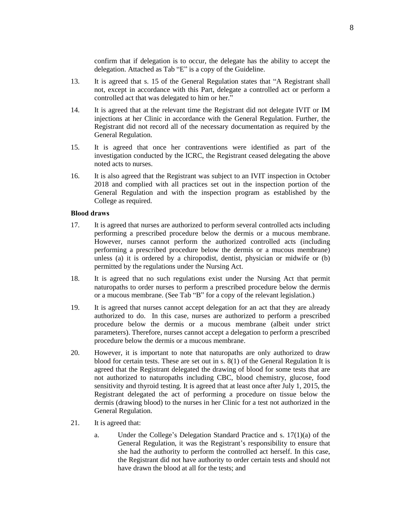confirm that if delegation is to occur, the delegate has the ability to accept the delegation. Attached as Tab "E" is a copy of the Guideline.

- 13. It is agreed that s. 15 of the General Regulation states that "A Registrant shall not, except in accordance with this Part, delegate a controlled act or perform a controlled act that was delegated to him or her."
- 14. It is agreed that at the relevant time the Registrant did not delegate IVIT or IM injections at her Clinic in accordance with the General Regulation. Further, the Registrant did not record all of the necessary documentation as required by the General Regulation.
- 15. It is agreed that once her contraventions were identified as part of the investigation conducted by the ICRC, the Registrant ceased delegating the above noted acts to nurses.
- 16. It is also agreed that the Registrant was subject to an IVIT inspection in October 2018 and complied with all practices set out in the inspection portion of the General Regulation and with the inspection program as established by the College as required.

#### **Blood draws**

- 17. It is agreed that nurses are authorized to perform several controlled acts including performing a prescribed procedure below the dermis or a mucous membrane. However, nurses cannot perform the authorized controlled acts (including performing a prescribed procedure below the dermis or a mucous membrane) unless (a) it is ordered by a chiropodist, dentist, physician or midwife or (b) permitted by the regulations under the Nursing Act.
- 18. It is agreed that no such regulations exist under the Nursing Act that permit naturopaths to order nurses to perform a prescribed procedure below the dermis or a mucous membrane. (See Tab "B" for a copy of the relevant legislation.)
- 19. It is agreed that nurses cannot accept delegation for an act that they are already authorized to do. In this case, nurses are authorized to perform a prescribed procedure below the dermis or a mucous membrane (albeit under strict parameters). Therefore, nurses cannot accept a delegation to perform a prescribed procedure below the dermis or a mucous membrane.
- 20. However, it is important to note that naturopaths are only authorized to draw blood for certain tests. These are set out in s. 8(1) of the General Regulation It is agreed that the Registrant delegated the drawing of blood for some tests that are not authorized to naturopaths including CBC, blood chemistry, glucose, food sensitivity and thyroid testing. It is agreed that at least once after July 1, 2015, the Registrant delegated the act of performing a procedure on tissue below the dermis (drawing blood) to the nurses in her Clinic for a test not authorized in the General Regulation.
- 21. It is agreed that:
	- a. Under the College's Delegation Standard Practice and s. 17(1)(a) of the General Regulation, it was the Registrant's responsibility to ensure that she had the authority to perform the controlled act herself. In this case, the Registrant did not have authority to order certain tests and should not have drawn the blood at all for the tests; and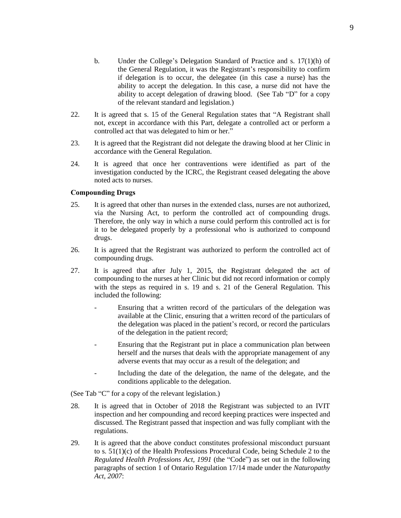- b. Under the College's Delegation Standard of Practice and s. 17(1)(h) of the General Regulation, it was the Registrant's responsibility to confirm if delegation is to occur, the delegatee (in this case a nurse) has the ability to accept the delegation. In this case, a nurse did not have the ability to accept delegation of drawing blood. (See Tab "D" for a copy of the relevant standard and legislation.)
- 22. It is agreed that s. 15 of the General Regulation states that "A Registrant shall not, except in accordance with this Part, delegate a controlled act or perform a controlled act that was delegated to him or her."
- 23. It is agreed that the Registrant did not delegate the drawing blood at her Clinic in accordance with the General Regulation.
- 24. It is agreed that once her contraventions were identified as part of the investigation conducted by the ICRC, the Registrant ceased delegating the above noted acts to nurses.

### **Compounding Drugs**

- 25. It is agreed that other than nurses in the extended class, nurses are not authorized, via the Nursing Act, to perform the controlled act of compounding drugs. Therefore, the only way in which a nurse could perform this controlled act is for it to be delegated properly by a professional who is authorized to compound drugs.
- 26. It is agreed that the Registrant was authorized to perform the controlled act of compounding drugs.
- 27. It is agreed that after July 1, 2015, the Registrant delegated the act of compounding to the nurses at her Clinic but did not record information or comply with the steps as required in s. 19 and s. 21 of the General Regulation. This included the following:
	- Ensuring that a written record of the particulars of the delegation was available at the Clinic, ensuring that a written record of the particulars of the delegation was placed in the patient's record, or record the particulars of the delegation in the patient record;
	- Ensuring that the Registrant put in place a communication plan between herself and the nurses that deals with the appropriate management of any adverse events that may occur as a result of the delegation; and
	- Including the date of the delegation, the name of the delegate, and the conditions applicable to the delegation.

(See Tab "C" for a copy of the relevant legislation.)

- 28. It is agreed that in October of 2018 the Registrant was subjected to an IVIT inspection and her compounding and record keeping practices were inspected and discussed. The Registrant passed that inspection and was fully compliant with the regulations.
- 29. It is agreed that the above conduct constitutes professional misconduct pursuant to s. 51(1)(c) of the Health Professions Procedural Code, being Schedule 2 to the *Regulated Health Professions Act, 1991* (the "Code") as set out in the following paragraphs of section 1 of Ontario Regulation 17/14 made under the *Naturopathy Act, 2007*: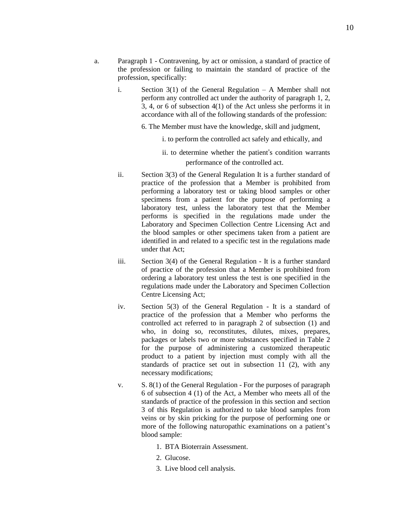- a. Paragraph 1 Contravening, by act or omission, a standard of practice of the profession or failing to maintain the standard of practice of the profession, specifically:
	- i. Section  $3(1)$  of the General Regulation A Member shall not perform any controlled act under the authority of paragraph 1, 2, 3, 4, or 6 of subsection 4(1) of the Act unless she performs it in accordance with all of the following standards of the profession:

6. The Member must have the knowledge, skill and judgment,

- i. to perform the controlled act safely and ethically, and
- ii. to determine whether the patient's condition warrants performance of the controlled act.
- ii. Section 3(3) of the General Regulation It is a further standard of practice of the profession that a Member is prohibited from performing a laboratory test or taking blood samples or other specimens from a patient for the purpose of performing a laboratory test, unless the laboratory test that the Member performs is specified in the regulations made under the Laboratory and Specimen Collection Centre Licensing Act and the blood samples or other specimens taken from a patient are identified in and related to a specific test in the regulations made under that Act;
- iii. Section 3(4) of the General Regulation It is a further standard of practice of the profession that a Member is prohibited from ordering a laboratory test unless the test is one specified in the regulations made under the Laboratory and Specimen Collection Centre Licensing Act;
- iv. Section 5(3) of the General Regulation It is a standard of practice of the profession that a Member who performs the controlled act referred to in paragraph 2 of subsection (1) and who, in doing so, reconstitutes, dilutes, mixes, prepares, packages or labels two or more substances specified in Table 2 for the purpose of administering a customized therapeutic product to a patient by injection must comply with all the standards of practice set out in subsection 11 (2), with any necessary modifications;
- v. S. 8(1) of the General Regulation For the purposes of paragraph 6 of subsection 4 (1) of the Act, a Member who meets all of the standards of practice of the profession in this section and section 3 of this Regulation is authorized to take blood samples from veins or by skin pricking for the purpose of performing one or more of the following naturopathic examinations on a patient's blood sample:
	- 1. BTA Bioterrain Assessment.
	- 2. Glucose.
	- 3. Live blood cell analysis.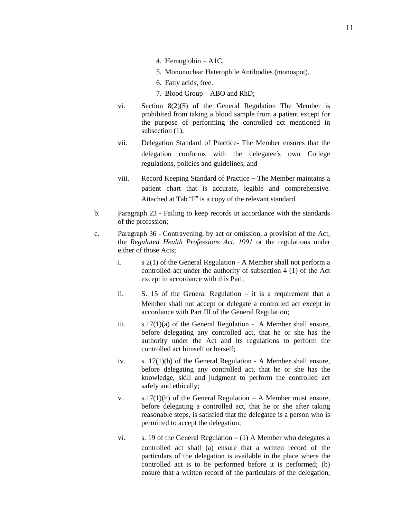- 4. Hemoglobin A1C.
- 5. Mononuclear Heterophile Antibodies (monospot).
- 6. Fatty acids, free.
- 7. Blood Group ABO and RhD;
- vi. Section 8(2)(5) of the General Regulation The Member is prohibited from taking a blood sample from a patient except for the purpose of performing the controlled act mentioned in subsection (1):
- vii. Delegation Standard of Practice- The Member ensures that the delegation conforms with the delegatee's own College regulations, policies and guidelines; and
- viii. Record Keeping Standard of Practice The Member maintains a patient chart that is accurate, legible and comprehensive. Attached at Tab "F" is a copy of the relevant standard.
- b. Paragraph 23 Failing to keep records in accordance with the standards of the profession;
- c. Paragraph 36 Contravening, by act or omission, a provision of the Act, the *Regulated Health Professions Act, 1991* or the regulations under either of those Acts;
	- i. s 2(1) of the General Regulation A Member shall not perform a controlled act under the authority of subsection 4 (1) of the Act except in accordance with this Part;
	- ii. S. 15 of the General Regulation it is a requirement that a Member shall not accept or delegate a controlled act except in accordance with Part III of the General Regulation;
	- iii.  $s.17(1)(a)$  of the General Regulation A Member shall ensure, before delegating any controlled act, that he or she has the authority under the Act and its regulations to perform the controlled act himself or herself;
	- iv. s. 17(1)(b) of the General Regulation A Member shall ensure, before delegating any controlled act, that he or she has the knowledge, skill and judgment to perform the controlled act safely and ethically;
	- v.  $s.17(1)(h)$  of the General Regulation A Member must ensure, before delegating a controlled act, that he or she after taking reasonable steps, is satisfied that the delegatee is a person who is permitted to accept the delegation;
	- vi. s. 19 of the General Regulation  $(1)$  A Member who delegates a controlled act shall (a) ensure that a written record of the particulars of the delegation is available in the place where the controlled act is to be performed before it is performed; (b) ensure that a written record of the particulars of the delegation,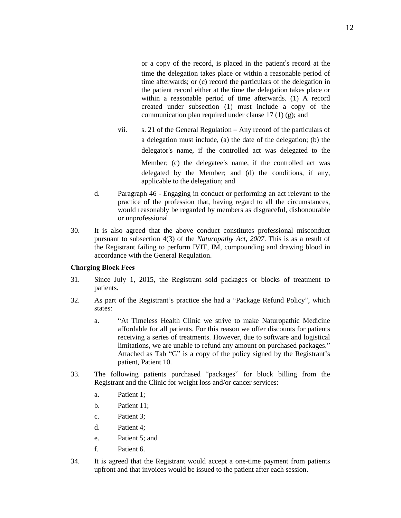or a copy of the record, is placed in the patient's record at the time the delegation takes place or within a reasonable period of time afterwards; or (c) record the particulars of the delegation in the patient record either at the time the delegation takes place or within a reasonable period of time afterwards. (1) A record created under subsection (1) must include a copy of the communication plan required under clause  $17(1)(g)$ ; and

- vii. s. 21 of the General Regulation Any record of the particulars of a delegation must include, (a) the date of the delegation; (b) the delegator's name, if the controlled act was delegated to the Member; (c) the delegatee's name, if the controlled act was delegated by the Member; and (d) the conditions, if any, applicable to the delegation; and
- d. Paragraph 46 Engaging in conduct or performing an act relevant to the practice of the profession that, having regard to all the circumstances, would reasonably be regarded by members as disgraceful, dishonourable or unprofessional.
- 30. It is also agreed that the above conduct constitutes professional misconduct pursuant to subsection 4(3) of the *Naturopathy Act, 2007*. This is as a result of the Registrant failing to perform IVIT, IM, compounding and drawing blood in accordance with the General Regulation.

#### **Charging Block Fees**

- 31. Since July 1, 2015, the Registrant sold packages or blocks of treatment to patients.
- 32. As part of the Registrant's practice she had a "Package Refund Policy", which states:
	- a. "At Timeless Health Clinic we strive to make Naturopathic Medicine affordable for all patients. For this reason we offer discounts for patients receiving a series of treatments. However, due to software and logistical limitations, we are unable to refund any amount on purchased packages." Attached as Tab "G" is a copy of the policy signed by the Registrant's patient, Patient 10.
- 33. The following patients purchased "packages" for block billing from the Registrant and the Clinic for weight loss and/or cancer services:
	- a. Patient 1;
	- b. Patient 11;
	- c. Patient 3;
	- d. Patient 4;
	- e. Patient 5; and
	- f. Patient 6.
- 34. It is agreed that the Registrant would accept a one-time payment from patients upfront and that invoices would be issued to the patient after each session.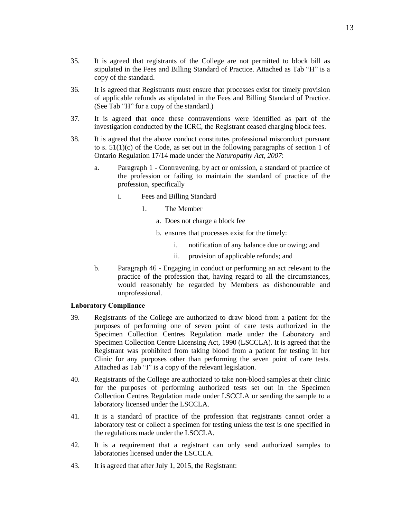- 36. It is agreed that Registrants must ensure that processes exist for timely provision of applicable refunds as stipulated in the Fees and Billing Standard of Practice. (See Tab "H" for a copy of the standard.)
- 37. It is agreed that once these contraventions were identified as part of the investigation conducted by the ICRC, the Registrant ceased charging block fees.
- 38. It is agreed that the above conduct constitutes professional misconduct pursuant to s. 51(1)(c) of the Code, as set out in the following paragraphs of section 1 of Ontario Regulation 17/14 made under the *Naturopathy Act, 2007*:
	- a. Paragraph 1 Contravening, by act or omission, a standard of practice of the profession or failing to maintain the standard of practice of the profession, specifically
		- i. Fees and Billing Standard
			- 1. The Member
				- a. Does not charge a block fee
				- b. ensures that processes exist for the timely:
					- i. notification of any balance due or owing; and
					- ii. provision of applicable refunds; and
	- b. Paragraph 46 Engaging in conduct or performing an act relevant to the practice of the profession that, having regard to all the circumstances, would reasonably be regarded by Members as dishonourable and unprofessional.

#### **Laboratory Compliance**

- 39. Registrants of the College are authorized to draw blood from a patient for the purposes of performing one of seven point of care tests authorized in the Specimen Collection Centres Regulation made under the Laboratory and Specimen Collection Centre Licensing Act, 1990 (LSCCLA). It is agreed that the Registrant was prohibited from taking blood from a patient for testing in her Clinic for any purposes other than performing the seven point of care tests. Attached as Tab "I" is a copy of the relevant legislation.
- 40. Registrants of the College are authorized to take non-blood samples at their clinic for the purposes of performing authorized tests set out in the Specimen Collection Centres Regulation made under LSCCLA or sending the sample to a laboratory licensed under the LSCCLA.
- 41. It is a standard of practice of the profession that registrants cannot order a laboratory test or collect a specimen for testing unless the test is one specified in the regulations made under the LSCCLA.
- 42. It is a requirement that a registrant can only send authorized samples to laboratories licensed under the LSCCLA.
- 43. It is agreed that after July 1, 2015, the Registrant: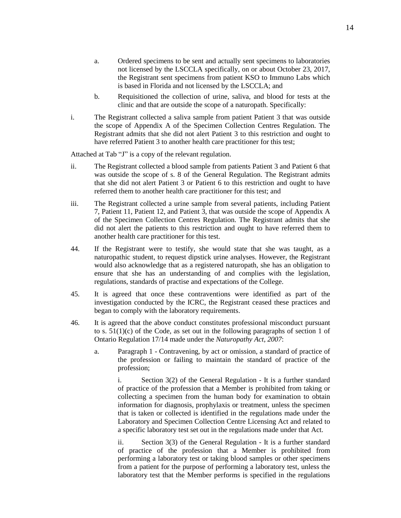- a. Ordered specimens to be sent and actually sent specimens to laboratories not licensed by the LSCCLA specifically, on or about October 23, 2017, the Registrant sent specimens from patient KSO to Immuno Labs which is based in Florida and not licensed by the LSCCLA; and
- b. Requisitioned the collection of urine, saliva, and blood for tests at the clinic and that are outside the scope of a naturopath. Specifically:
- i. The Registrant collected a saliva sample from patient Patient 3 that was outside the scope of Appendix A of the Specimen Collection Centres Regulation. The Registrant admits that she did not alert Patient 3 to this restriction and ought to have referred Patient 3 to another health care practitioner for this test;

Attached at Tab "J" is a copy of the relevant regulation.

- ii. The Registrant collected a blood sample from patients Patient 3 and Patient 6 that was outside the scope of s. 8 of the General Regulation. The Registrant admits that she did not alert Patient 3 or Patient 6 to this restriction and ought to have referred them to another health care practitioner for this test; and
- iii. The Registrant collected a urine sample from several patients, including Patient 7, Patient 11, Patient 12, and Patient 3, that was outside the scope of Appendix A of the Specimen Collection Centres Regulation. The Registrant admits that she did not alert the patients to this restriction and ought to have referred them to another health care practitioner for this test.
- 44. If the Registrant were to testify, she would state that she was taught, as a naturopathic student, to request dipstick urine analyses. However, the Registrant would also acknowledge that as a registered naturopath, she has an obligation to ensure that she has an understanding of and complies with the legislation, regulations, standards of practise and expectations of the College.
- 45. It is agreed that once these contraventions were identified as part of the investigation conducted by the ICRC, the Registrant ceased these practices and began to comply with the laboratory requirements.
- 46. It is agreed that the above conduct constitutes professional misconduct pursuant to s.  $51(1)(c)$  of the Code, as set out in the following paragraphs of section 1 of Ontario Regulation 17/14 made under the *Naturopathy Act, 2007*:
	- a. Paragraph 1 Contravening, by act or omission, a standard of practice of the profession or failing to maintain the standard of practice of the profession;

i. Section 3(2) of the General Regulation - It is a further standard of practice of the profession that a Member is prohibited from taking or collecting a specimen from the human body for examination to obtain information for diagnosis, prophylaxis or treatment, unless the specimen that is taken or collected is identified in the regulations made under the Laboratory and Specimen Collection Centre Licensing Act and related to a specific laboratory test set out in the regulations made under that Act.

ii. Section 3(3) of the General Regulation - It is a further standard of practice of the profession that a Member is prohibited from performing a laboratory test or taking blood samples or other specimens from a patient for the purpose of performing a laboratory test, unless the laboratory test that the Member performs is specified in the regulations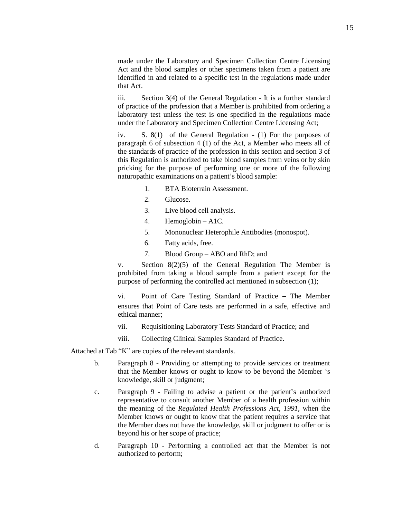made under the Laboratory and Specimen Collection Centre Licensing Act and the blood samples or other specimens taken from a patient are identified in and related to a specific test in the regulations made under that Act.

iii. Section 3(4) of the General Regulation - It is a further standard of practice of the profession that a Member is prohibited from ordering a laboratory test unless the test is one specified in the regulations made under the Laboratory and Specimen Collection Centre Licensing Act;

iv. S. 8(1) of the General Regulation - (1) For the purposes of paragraph 6 of subsection 4 (1) of the Act, a Member who meets all of the standards of practice of the profession in this section and section 3 of this Regulation is authorized to take blood samples from veins or by skin pricking for the purpose of performing one or more of the following naturopathic examinations on a patient's blood sample:

- 1. BTA Bioterrain Assessment.
- 2. Glucose.
- 3. Live blood cell analysis.
- 4. Hemoglobin A1C.
- 5. Mononuclear Heterophile Antibodies (monospot).
- 6. Fatty acids, free.
- 7. Blood Group ABO and RhD; and

v. Section 8(2)(5) of the General Regulation The Member is prohibited from taking a blood sample from a patient except for the purpose of performing the controlled act mentioned in subsection (1);

vi. Point of Care Testing Standard of Practice – The Member ensures that Point of Care tests are performed in a safe, effective and ethical manner;

- vii. Requisitioning Laboratory Tests Standard of Practice; and
- viii. Collecting Clinical Samples Standard of Practice.

Attached at Tab "K" are copies of the relevant standards.

- b. Paragraph 8 Providing or attempting to provide services or treatment that the Member knows or ought to know to be beyond the Member 's knowledge, skill or judgment;
- c. Paragraph 9 Failing to advise a patient or the patient's authorized representative to consult another Member of a health profession within the meaning of the *Regulated Health Professions Act, 1991*, when the Member knows or ought to know that the patient requires a service that the Member does not have the knowledge, skill or judgment to offer or is beyond his or her scope of practice;
- d. Paragraph 10 Performing a controlled act that the Member is not authorized to perform;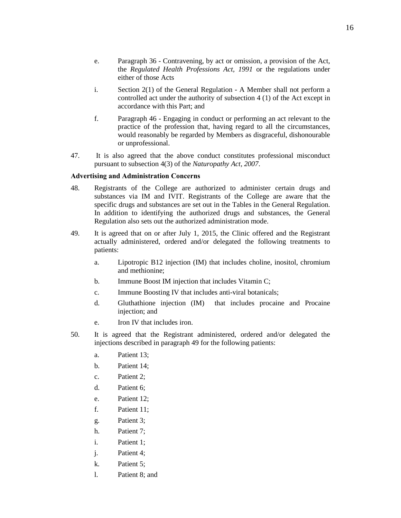- e. Paragraph 36 Contravening, by act or omission, a provision of the Act, the *Regulated Health Professions Act, 1991* or the regulations under either of those Acts
- i. Section 2(1) of the General Regulation A Member shall not perform a controlled act under the authority of subsection 4 (1) of the Act except in accordance with this Part; and
- f. Paragraph 46 Engaging in conduct or performing an act relevant to the practice of the profession that, having regard to all the circumstances, would reasonably be regarded by Members as disgraceful, dishonourable or unprofessional.
- 47. It is also agreed that the above conduct constitutes professional misconduct pursuant to subsection 4(3) of the *Naturopathy Act, 2007*.

### **Advertising and Administration Concerns**

- 48. Registrants of the College are authorized to administer certain drugs and substances via IM and IVIT. Registrants of the College are aware that the specific drugs and substances are set out in the Tables in the General Regulation. In addition to identifying the authorized drugs and substances, the General Regulation also sets out the authorized administration mode.
- 49. It is agreed that on or after July 1, 2015, the Clinic offered and the Registrant actually administered, ordered and/or delegated the following treatments to patients:
	- a. Lipotropic B12 injection (IM) that includes choline, inositol, chromium and methionine;
	- b. Immune Boost IM injection that includes Vitamin C;
	- c. Immune Boosting IV that includes anti-viral botanicals;
	- d. Gluthathione injection (IM) that includes procaine and Procaine injection; and
	- e. Iron IV that includes iron.
- 50. It is agreed that the Registrant administered, ordered and/or delegated the injections described in paragraph 49 for the following patients:
	- a. Patient 13;
	- b. Patient 14;
	- c. Patient 2;
	- d. Patient 6;
	- e. Patient 12;
	- f. Patient 11;
	- g. Patient 3;
	- h. Patient 7;
	- i. Patient 1;
	- j. Patient 4;
	- k. Patient 5;
	- l. Patient 8; and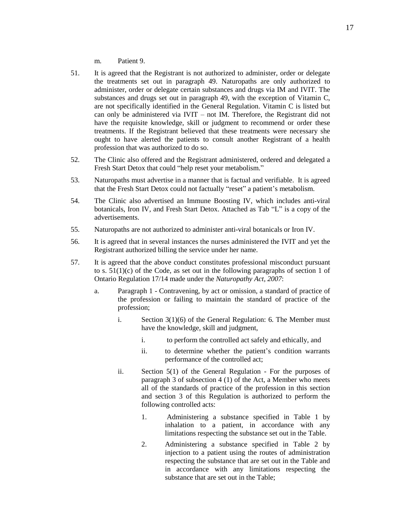- m. Patient 9.
- 51. It is agreed that the Registrant is not authorized to administer, order or delegate the treatments set out in paragraph 49. Naturopaths are only authorized to administer, order or delegate certain substances and drugs via IM and IVIT. The substances and drugs set out in paragraph 49, with the exception of Vitamin C, are not specifically identified in the General Regulation. Vitamin C is listed but can only be administered via IVIT – not IM. Therefore, the Registrant did not have the requisite knowledge, skill or judgment to recommend or order these treatments. If the Registrant believed that these treatments were necessary she ought to have alerted the patients to consult another Registrant of a health profession that was authorized to do so.
- 52. The Clinic also offered and the Registrant administered, ordered and delegated a Fresh Start Detox that could "help reset your metabolism."
- 53. Naturopaths must advertise in a manner that is factual and verifiable. It is agreed that the Fresh Start Detox could not factually "reset" a patient's metabolism.
- 54. The Clinic also advertised an Immune Boosting IV, which includes anti-viral botanicals, Iron IV, and Fresh Start Detox. Attached as Tab "L" is a copy of the advertisements.
- 55. Naturopaths are not authorized to administer anti-viral botanicals or Iron IV.
- 56. It is agreed that in several instances the nurses administered the IVIT and yet the Registrant authorized billing the service under her name.
- 57. It is agreed that the above conduct constitutes professional misconduct pursuant to s.  $51(1)(c)$  of the Code, as set out in the following paragraphs of section 1 of Ontario Regulation 17/14 made under the *Naturopathy Act, 2007*:
	- a. Paragraph 1 Contravening, by act or omission, a standard of practice of the profession or failing to maintain the standard of practice of the profession;
		- i. Section 3(1)(6) of the General Regulation: 6. The Member must have the knowledge, skill and judgment,
			- i. to perform the controlled act safely and ethically, and
			- ii. to determine whether the patient's condition warrants performance of the controlled act;
		- ii. Section 5(1) of the General Regulation For the purposes of paragraph 3 of subsection 4 (1) of the Act, a Member who meets all of the standards of practice of the profession in this section and section 3 of this Regulation is authorized to perform the following controlled acts:
			- 1. Administering a substance specified in Table 1 by inhalation to a patient, in accordance with any limitations respecting the substance set out in the Table.
			- 2. Administering a substance specified in Table 2 by injection to a patient using the routes of administration respecting the substance that are set out in the Table and in accordance with any limitations respecting the substance that are set out in the Table;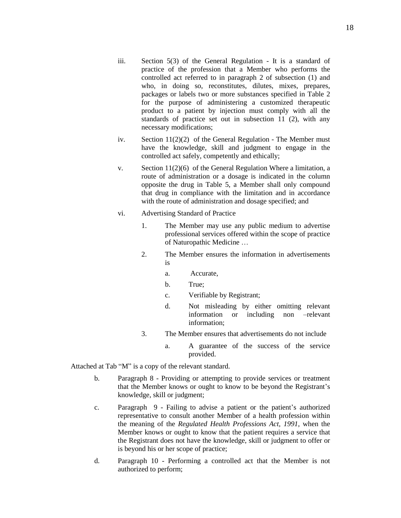- iii. Section 5(3) of the General Regulation It is a standard of practice of the profession that a Member who performs the controlled act referred to in paragraph 2 of subsection (1) and who, in doing so, reconstitutes, dilutes, mixes, prepares, packages or labels two or more substances specified in Table 2 for the purpose of administering a customized therapeutic product to a patient by injection must comply with all the standards of practice set out in subsection  $11$  (2), with any necessary modifications;
- iv. Section 11(2)(2) of the General Regulation The Member must have the knowledge, skill and judgment to engage in the controlled act safely, competently and ethically;
- v. Section 11(2)(6) of the General Regulation Where a limitation, a route of administration or a dosage is indicated in the column opposite the drug in Table 5, a Member shall only compound that drug in compliance with the limitation and in accordance with the route of administration and dosage specified; and
- vi. Advertising Standard of Practice
	- 1. The Member may use any public medium to advertise professional services offered within the scope of practice of Naturopathic Medicine …
	- 2. The Member ensures the information in advertisements is
		- a. Accurate,
		- b. True;
		- c. Verifiable by Registrant;
		- d. Not misleading by either omitting relevant information or including non –relevant information;
	- 3. The Member ensures that advertisements do not include
		- a. A guarantee of the success of the service provided.

Attached at Tab "M" is a copy of the relevant standard.

- b. Paragraph 8 Providing or attempting to provide services or treatment that the Member knows or ought to know to be beyond the Registrant's knowledge, skill or judgment;
- c. Paragraph 9 Failing to advise a patient or the patient's authorized representative to consult another Member of a health profession within the meaning of the *Regulated Health Professions Act, 1991*, when the Member knows or ought to know that the patient requires a service that the Registrant does not have the knowledge, skill or judgment to offer or is beyond his or her scope of practice;
- d. Paragraph 10 Performing a controlled act that the Member is not authorized to perform;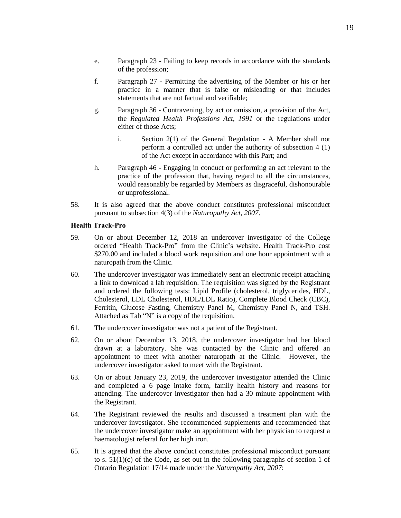- e. Paragraph 23 Failing to keep records in accordance with the standards of the profession;
- f. Paragraph 27 Permitting the advertising of the Member or his or her practice in a manner that is false or misleading or that includes statements that are not factual and verifiable;
- g. Paragraph 36 Contravening, by act or omission, a provision of the Act, the *Regulated Health Professions Act, 1991* or the regulations under either of those Acts;
	- i. Section 2(1) of the General Regulation A Member shall not perform a controlled act under the authority of subsection 4 (1) of the Act except in accordance with this Part; and
- h. Paragraph 46 Engaging in conduct or performing an act relevant to the practice of the profession that, having regard to all the circumstances, would reasonably be regarded by Members as disgraceful, dishonourable or unprofessional.
- 58. It is also agreed that the above conduct constitutes professional misconduct pursuant to subsection 4(3) of the *Naturopathy Act, 2007*.

#### **Health Track-Pro**

- 59. On or about December 12, 2018 an undercover investigator of the College ordered "Health Track-Pro" from the Clinic's website. Health Track-Pro cost \$270.00 and included a blood work requisition and one hour appointment with a naturopath from the Clinic.
- 60. The undercover investigator was immediately sent an electronic receipt attaching a link to download a lab requisition. The requisition was signed by the Registrant and ordered the following tests: Lipid Profile (cholesterol, triglycerides, HDL, Cholesterol, LDL Cholesterol, HDL/LDL Ratio), Complete Blood Check (CBC), Ferritin, Glucose Fasting, Chemistry Panel M, Chemistry Panel N, and TSH. Attached as Tab "N" is a copy of the requisition.
- 61. The undercover investigator was not a patient of the Registrant.
- 62. On or about December 13, 2018, the undercover investigator had her blood drawn at a laboratory. She was contacted by the Clinic and offered an appointment to meet with another naturopath at the Clinic. However, the undercover investigator asked to meet with the Registrant.
- 63. On or about January 23, 2019, the undercover investigator attended the Clinic and completed a 6 page intake form, family health history and reasons for attending. The undercover investigator then had a 30 minute appointment with the Registrant.
- 64. The Registrant reviewed the results and discussed a treatment plan with the undercover investigator. She recommended supplements and recommended that the undercover investigator make an appointment with her physician to request a haematologist referral for her high iron.
- 65. It is agreed that the above conduct constitutes professional misconduct pursuant to s.  $51(1)(c)$  of the Code, as set out in the following paragraphs of section 1 of Ontario Regulation 17/14 made under the *Naturopathy Act, 2007*: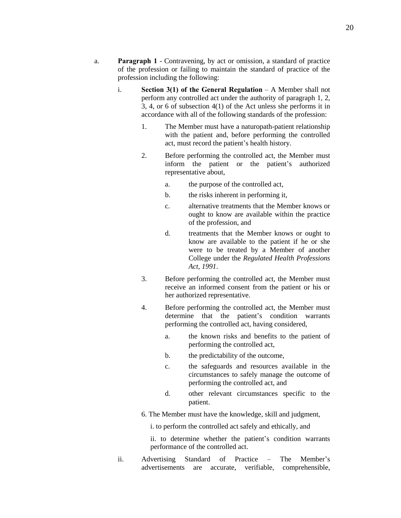- a. **Paragraph 1** Contravening, by act or omission, a standard of practice of the profession or failing to maintain the standard of practice of the profession including the following:
	- i. **Section 3(1) of the General Regulation** A Member shall not perform any controlled act under the authority of paragraph 1, 2, 3, 4, or 6 of subsection 4(1) of the Act unless she performs it in accordance with all of the following standards of the profession:
		- 1. The Member must have a naturopath-patient relationship with the patient and, before performing the controlled act, must record the patient's health history.
		- 2. Before performing the controlled act, the Member must inform the patient or the patient's authorized representative about,
			- a. the purpose of the controlled act,
			- b. the risks inherent in performing it,
			- c. alternative treatments that the Member knows or ought to know are available within the practice of the profession, and
			- d. treatments that the Member knows or ought to know are available to the patient if he or she were to be treated by a Member of another College under the *Regulated Health Professions Act, 1991*.
		- 3. Before performing the controlled act, the Member must receive an informed consent from the patient or his or her authorized representative.
		- 4. Before performing the controlled act, the Member must determine that the patient's condition warrants performing the controlled act, having considered,
			- a. the known risks and benefits to the patient of performing the controlled act,
			- b. the predictability of the outcome,
			- c. the safeguards and resources available in the circumstances to safely manage the outcome of performing the controlled act, and
			- d. other relevant circumstances specific to the patient.
		- 6. The Member must have the knowledge, skill and judgment,

i. to perform the controlled act safely and ethically, and

ii. to determine whether the patient's condition warrants performance of the controlled act.

ii. Advertising Standard of Practice – The Member's advertisements are accurate, verifiable, comprehensible,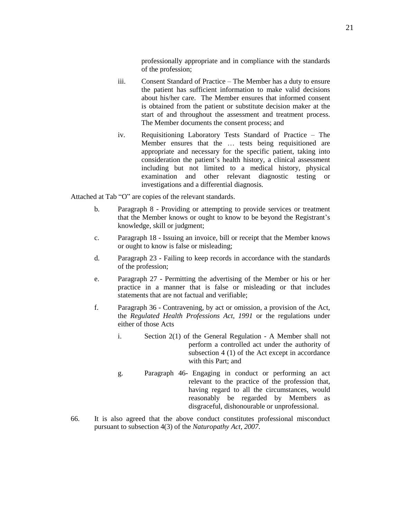professionally appropriate and in compliance with the standards of the profession;

- iii. Consent Standard of Practice The Member has a duty to ensure the patient has sufficient information to make valid decisions about his/her care. The Member ensures that informed consent is obtained from the patient or substitute decision maker at the start of and throughout the assessment and treatment process. The Member documents the consent process; and
- iv. Requisitioning Laboratory Tests Standard of Practice The Member ensures that the … tests being requisitioned are appropriate and necessary for the specific patient, taking into consideration the patient's health history, a clinical assessment including but not limited to a medical history, physical examination and other relevant diagnostic testing or investigations and a differential diagnosis.

Attached at Tab "O" are copies of the relevant standards.

- b. Paragraph 8 Providing or attempting to provide services or treatment that the Member knows or ought to know to be beyond the Registrant's knowledge, skill or judgment;
- c. Paragraph 18 Issuing an invoice, bill or receipt that the Member knows or ought to know is false or misleading;
- d. Paragraph 23 Failing to keep records in accordance with the standards of the profession;
- e. Paragraph 27 Permitting the advertising of the Member or his or her practice in a manner that is false or misleading or that includes statements that are not factual and verifiable;
- f. Paragraph 36 Contravening, by act or omission, a provision of the Act, the *Regulated Health Professions Act, 1991* or the regulations under either of those Acts
	- i. Section 2(1) of the General Regulation A Member shall not perform a controlled act under the authority of subsection 4 (1) of the Act except in accordance with this Part; and
	- g. Paragraph 46- Engaging in conduct or performing an act relevant to the practice of the profession that, having regard to all the circumstances, would reasonably be regarded by Members as disgraceful, dishonourable or unprofessional.
- 66. It is also agreed that the above conduct constitutes professional misconduct pursuant to subsection 4(3) of the *Naturopathy Act, 2007*.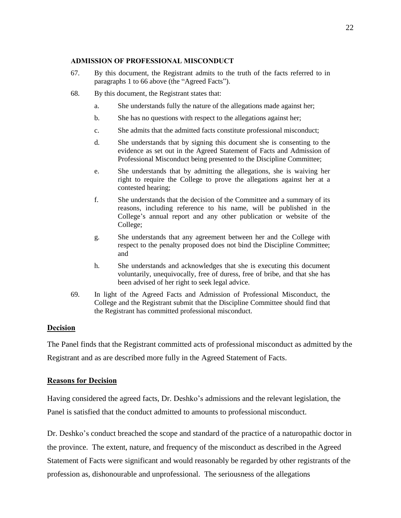### **ADMISSION OF PROFESSIONAL MISCONDUCT**

- 67. By this document, the Registrant admits to the truth of the facts referred to in paragraphs 1 to 66 above (the "Agreed Facts").
- 68. By this document, the Registrant states that:
	- a. She understands fully the nature of the allegations made against her;
	- b. She has no questions with respect to the allegations against her;
	- c. She admits that the admitted facts constitute professional misconduct;
	- d. She understands that by signing this document she is consenting to the evidence as set out in the Agreed Statement of Facts and Admission of Professional Misconduct being presented to the Discipline Committee;
	- e. She understands that by admitting the allegations, she is waiving her right to require the College to prove the allegations against her at a contested hearing;
	- f. She understands that the decision of the Committee and a summary of its reasons, including reference to his name, will be published in the College's annual report and any other publication or website of the College;
	- g. She understands that any agreement between her and the College with respect to the penalty proposed does not bind the Discipline Committee; and
	- h. She understands and acknowledges that she is executing this document voluntarily, unequivocally, free of duress, free of bribe, and that she has been advised of her right to seek legal advice.
- 69. In light of the Agreed Facts and Admission of Professional Misconduct, the College and the Registrant submit that the Discipline Committee should find that the Registrant has committed professional misconduct.

# **Decision**

The Panel finds that the Registrant committed acts of professional misconduct as admitted by the Registrant and as are described more fully in the Agreed Statement of Facts.

# **Reasons for Decision**

Having considered the agreed facts, Dr. Deshko's admissions and the relevant legislation, the Panel is satisfied that the conduct admitted to amounts to professional misconduct.

Dr. Deshko's conduct breached the scope and standard of the practice of a naturopathic doctor in the province. The extent, nature, and frequency of the misconduct as described in the Agreed Statement of Facts were significant and would reasonably be regarded by other registrants of the profession as, dishonourable and unprofessional. The seriousness of the allegations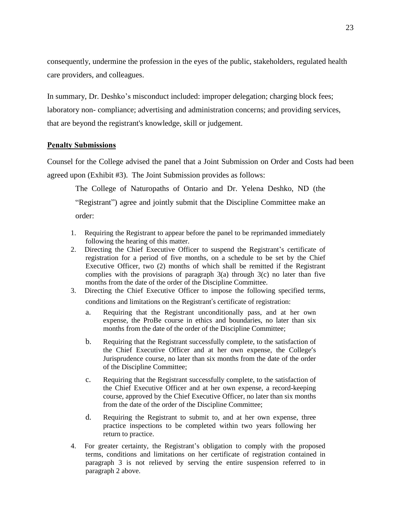consequently, undermine the profession in the eyes of the public, stakeholders, regulated health care providers, and colleagues.

In summary, Dr. Deshko's misconduct included: improper delegation; charging block fees; laboratory non- compliance; advertising and administration concerns; and providing services, that are beyond the registrant's knowledge, skill or judgement.

#### **Penalty Submissions**

Counsel for the College advised the panel that a Joint Submission on Order and Costs had been agreed upon (Exhibit #3). The Joint Submission provides as follows:

The College of Naturopaths of Ontario and Dr. Yelena Deshko, ND (the "Registrant") agree and jointly submit that the Discipline Committee make an order:

- 1. Requiring the Registrant to appear before the panel to be reprimanded immediately following the hearing of this matter.
- 2. Directing the Chief Executive Officer to suspend the Registrant's certificate of registration for a period of five months, on a schedule to be set by the Chief Executive Officer, two (2) months of which shall be remitted if the Registrant complies with the provisions of paragraph  $3(a)$  through  $3(c)$  no later than five months from the date of the order of the Discipline Committee.
- 3. Directing the Chief Executive Officer to impose the following specified terms, conditions and limitations on the Registrant's certificate of registration:
	- a. Requiring that the Registrant unconditionally pass, and at her own expense, the ProBe course in ethics and boundaries, no later than six months from the date of the order of the Discipline Committee;
	- b. Requiring that the Registrant successfully complete, to the satisfaction of the Chief Executive Officer and at her own expense, the College's Jurisprudence course, no later than six months from the date of the order of the Discipline Committee;
	- c. Requiring that the Registrant successfully complete, to the satisfaction of the Chief Executive Officer and at her own expense, a record-keeping course, approved by the Chief Executive Officer, no later than six months from the date of the order of the Discipline Committee;
	- d. Requiring the Registrant to submit to, and at her own expense, three practice inspections to be completed within two years following her return to practice.
- 4. For greater certainty, the Registrant's obligation to comply with the proposed terms, conditions and limitations on her certificate of registration contained in paragraph 3 is not relieved by serving the entire suspension referred to in paragraph 2 above.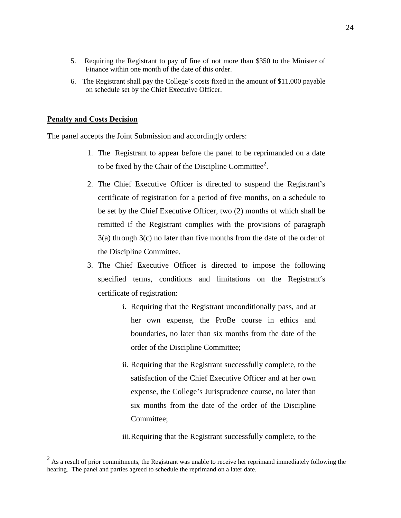- 5. Requiring the Registrant to pay of fine of not more than \$350 to the Minister of Finance within one month of the date of this order.
- 6. The Registrant shall pay the College's costs fixed in the amount of \$11,000 payable on schedule set by the Chief Executive Officer.

#### **Penalty and Costs Decision**

The panel accepts the Joint Submission and accordingly orders:

- 1. The Registrant to appear before the panel to be reprimanded on a date to be fixed by the Chair of the Discipline Committee<sup>2</sup>.
- 2. The Chief Executive Officer is directed to suspend the Registrant's certificate of registration for a period of five months, on a schedule to be set by the Chief Executive Officer, two (2) months of which shall be remitted if the Registrant complies with the provisions of paragraph 3(a) through 3(c) no later than five months from the date of the order of the Discipline Committee.
- 3. The Chief Executive Officer is directed to impose the following specified terms, conditions and limitations on the Registrant's certificate of registration:
	- i. Requiring that the Registrant unconditionally pass, and at her own expense, the ProBe course in ethics and boundaries, no later than six months from the date of the order of the Discipline Committee;
	- ii. Requiring that the Registrant successfully complete, to the satisfaction of the Chief Executive Officer and at her own expense, the College's Jurisprudence course, no later than six months from the date of the order of the Discipline Committee;

iii.Requiring that the Registrant successfully complete, to the

<sup>&</sup>lt;sup>2</sup> As a result of prior commitments, the Registrant was unable to receive her reprimand immediately following the hearing. The panel and parties agreed to schedule the reprimand on a later date.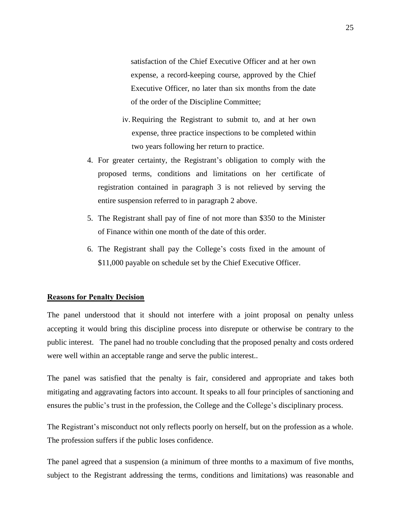satisfaction of the Chief Executive Officer and at her own expense, a record-keeping course, approved by the Chief Executive Officer, no later than six months from the date of the order of the Discipline Committee;

- iv.Requiring the Registrant to submit to, and at her own expense, three practice inspections to be completed within two years following her return to practice.
- 4. For greater certainty, the Registrant's obligation to comply with the proposed terms, conditions and limitations on her certificate of registration contained in paragraph 3 is not relieved by serving the entire suspension referred to in paragraph 2 above.
- 5. The Registrant shall pay of fine of not more than \$350 to the Minister of Finance within one month of the date of this order.
- 6. The Registrant shall pay the College's costs fixed in the amount of \$11,000 payable on schedule set by the Chief Executive Officer.

### **Reasons for Penalty Decision**

The panel understood that it should not interfere with a joint proposal on penalty unless accepting it would bring this discipline process into disrepute or otherwise be contrary to the public interest. The panel had no trouble concluding that the proposed penalty and costs ordered were well within an acceptable range and serve the public interest..

The panel was satisfied that the penalty is fair, considered and appropriate and takes both mitigating and aggravating factors into account. It speaks to all four principles of sanctioning and ensures the public's trust in the profession, the College and the College's disciplinary process.

The Registrant's misconduct not only reflects poorly on herself, but on the profession as a whole. The profession suffers if the public loses confidence.

The panel agreed that a suspension (a minimum of three months to a maximum of five months, subject to the Registrant addressing the terms, conditions and limitations) was reasonable and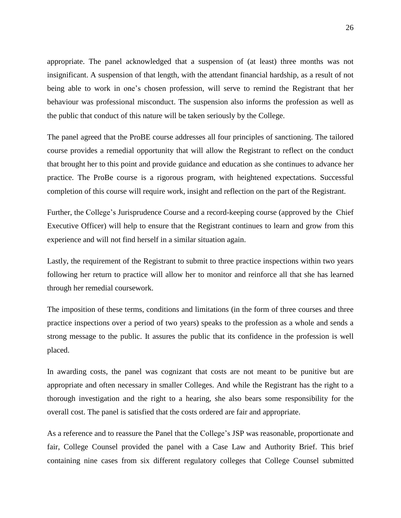appropriate. The panel acknowledged that a suspension of (at least) three months was not insignificant. A suspension of that length, with the attendant financial hardship, as a result of not being able to work in one's chosen profession, will serve to remind the Registrant that her behaviour was professional misconduct. The suspension also informs the profession as well as the public that conduct of this nature will be taken seriously by the College.

The panel agreed that the ProBE course addresses all four principles of sanctioning. The tailored course provides a remedial opportunity that will allow the Registrant to reflect on the conduct that brought her to this point and provide guidance and education as she continues to advance her practice. The ProBe course is a rigorous program, with heightened expectations. Successful completion of this course will require work, insight and reflection on the part of the Registrant.

Further, the College's Jurisprudence Course and a record-keeping course (approved by the Chief Executive Officer) will help to ensure that the Registrant continues to learn and grow from this experience and will not find herself in a similar situation again.

Lastly, the requirement of the Registrant to submit to three practice inspections within two years following her return to practice will allow her to monitor and reinforce all that she has learned through her remedial coursework.

The imposition of these terms, conditions and limitations (in the form of three courses and three practice inspections over a period of two years) speaks to the profession as a whole and sends a strong message to the public. It assures the public that its confidence in the profession is well placed.

In awarding costs, the panel was cognizant that costs are not meant to be punitive but are appropriate and often necessary in smaller Colleges. And while the Registrant has the right to a thorough investigation and the right to a hearing, she also bears some responsibility for the overall cost. The panel is satisfied that the costs ordered are fair and appropriate.

As a reference and to reassure the Panel that the College's JSP was reasonable, proportionate and fair, College Counsel provided the panel with a Case Law and Authority Brief. This brief containing nine cases from six different regulatory colleges that College Counsel submitted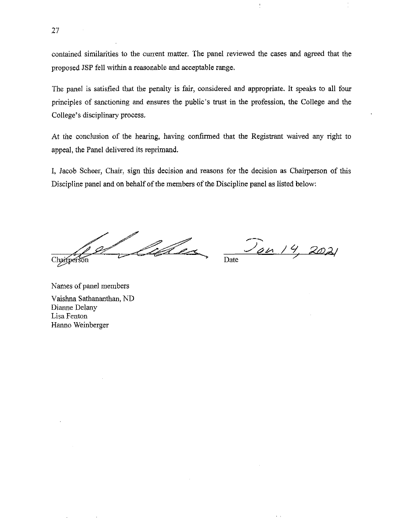contained similarities to the current matter. The panel reviewed the cases and agreed that the proposed JSP fell within a reasonable and acceptable range.

The panel is satisfied that the penalty is fair, considered and appropriate. It speaks to all four principles of sanctioning and ensures the public's trust in the profession, the College and the College's disciplinary process.

At the conclusion of the hearing, having confirmed that the Registrant waived any right to appeal, the Panel delivered its reprimand.

I, Jacob Scheer, Chair, sign this decision and reasons for the decision as Chairperson of this Discipline panel and on behalf of the members of the Discipline panel as listed below:

<u>labra</u> Chaifperson

<u>Jan 14</u> Date

Names of panel members Vaishna Sathananthan, ND Dianne Delany Lisa Fenton Hanno Weinberger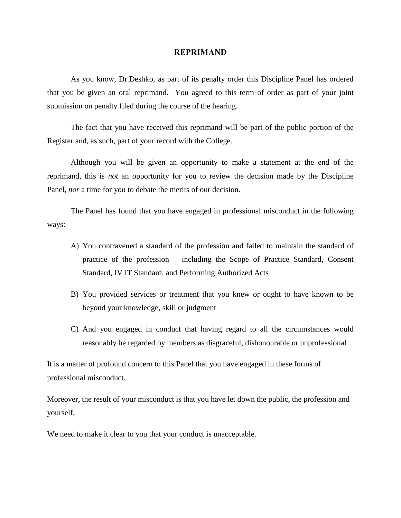#### **REPRIMAND**

As you know, Dr.Deshko, as part of its penalty order this Discipline Panel has ordered that you be given an oral reprimand. You agreed to this term of order as part of your joint submission on penalty filed during the course of the hearing.

The fact that you have received this reprimand will be part of the public portion of the Register and, as such, part of your record with the College.

Although you will be given an opportunity to make a statement at the end of the reprimand, this is *not* an opportunity for you to review the decision made by the Discipline Panel, *nor* a time for you to debate the merits of our decision.

The Panel has found that you have engaged in professional misconduct in the following ways:

- A) You contravened a standard of the profession and failed to maintain the standard of practice of the profession – including the Scope of Practice Standard, Consent Standard, IV IT Standard, and Performing Authorized Acts
- B) You provided services or treatment that you knew or ought to have known to be beyond your knowledge, skill or judgment
- C) And you engaged in conduct that having regard to all the circumstances would reasonably be regarded by members as disgraceful, dishonourable or unprofessional

It is a matter of profound concern to this Panel that you have engaged in these forms of professional misconduct.

Moreover, the result of your misconduct is that you have let down the public, the profession and yourself.

We need to make it clear to you that your conduct is unacceptable.